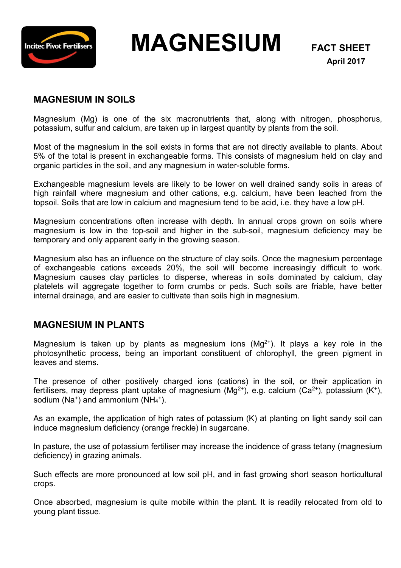

 **MAGNESIUM FACT SHEET**

## **MAGNESIUM IN SOILS**

Magnesium (Mg) is one of the six macronutrients that, along with nitrogen, phosphorus, potassium, sulfur and calcium, are taken up in largest quantity by plants from the soil.

Most of the magnesium in the soil exists in forms that are not directly available to plants. About 5% of the total is present in exchangeable forms. This consists of magnesium held on clay and organic particles in the soil, and any magnesium in water-soluble forms.

Exchangeable magnesium levels are likely to be lower on well drained sandy soils in areas of high rainfall where magnesium and other cations, e.g. calcium, have been leached from the topsoil. Soils that are low in calcium and magnesium tend to be acid, i.e. they have a low pH.

Magnesium concentrations often increase with depth. In annual crops grown on soils where magnesium is low in the top-soil and higher in the sub-soil, magnesium deficiency may be temporary and only apparent early in the growing season.

Magnesium also has an influence on the structure of clay soils. Once the magnesium percentage of exchangeable cations exceeds 20%, the soil will become increasingly difficult to work. Magnesium causes clay particles to disperse, whereas in soils dominated by calcium, clay platelets will aggregate together to form crumbs or peds. Such soils are friable, have better internal drainage, and are easier to cultivate than soils high in magnesium.

## **MAGNESIUM IN PLANTS**

Magnesium is taken up by plants as magnesium ions  $(Mg^{2+})$ . It plays a key role in the photosynthetic process, being an important constituent of chlorophyll, the green pigment in leaves and stems.

The presence of other positively charged ions (cations) in the soil, or their application in fertilisers, may depress plant uptake of magnesium (Mg<sup>2+</sup>), e.g. calcium (Ca<sup>2+</sup>), potassium (K<sup>+</sup>), sodium ( $Na<sup>+</sup>$ ) and ammonium ( $NH<sub>4</sub><sup>+</sup>$ ).

As an example, the application of high rates of potassium (K) at planting on light sandy soil can induce magnesium deficiency (orange freckle) in sugarcane.

In pasture, the use of potassium fertiliser may increase the incidence of grass tetany (magnesium deficiency) in grazing animals.

Such effects are more pronounced at low soil pH, and in fast growing short season horticultural crops.

Once absorbed, magnesium is quite mobile within the plant. It is readily relocated from old to young plant tissue.